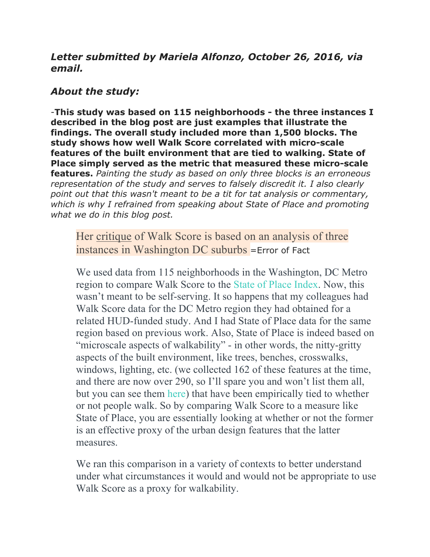# *Letter submitted by Mariela Alfonzo, October 26, 2016, via email.*

# *About the study:*

-**This study was based on 115 neighborhoods - the three instances I described in the blog post are just examples that illustrate the findings. The overall study included more than 1,500 blocks. The study shows how well Walk Score correlated with micro-scale features of the built environment that are tied to walking. State of Place simply served as the metric that measured these micro-scale features.** *Painting the study as based on only three blocks is an erroneous representation of the study and serves to falsely discredit it. I also clearly point out that this wasn't meant to be a tit for tat analysis or commentary, which is why I refrained from speaking about State of Place and promoting what we do in this blog post.*

Her critique of Walk Score is based on an analysis of three instances in Washington DC suburbs =Error of Fact

We used data from 115 neighborhoods in the Washington, DC Metro region to compare Walk Score to the State of Place Index. Now, this wasn't meant to be self-serving. It so happens that my colleagues had Walk Score data for the DC Metro region they had obtained for a related HUD-funded study. And I had State of Place data for the same region based on previous work. Also, State of Place is indeed based on "microscale aspects of walkability" - in other words, the nitty-gritty aspects of the built environment, like trees, benches, crosswalks, windows, lighting, etc. (we collected 162 of these features at the time, and there are now over 290, so I'll spare you and won't list them all, but you can see them here) that have been empirically tied to whether or not people walk. So by comparing Walk Score to a measure like State of Place, you are essentially looking at whether or not the former is an effective proxy of the urban design features that the latter measures.

We ran this comparison in a variety of contexts to better understand under what circumstances it would and would not be appropriate to use Walk Score as a proxy for walkability.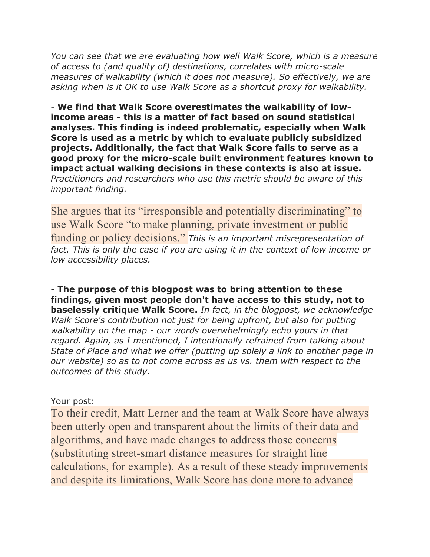*You can see that we are evaluating how well Walk Score, which is a measure of access to (and quality of) destinations, correlates with micro-scale measures of walkability (which it does not measure). So effectively, we are asking when is it OK to use Walk Score as a shortcut proxy for walkability.*

- **We find that Walk Score overestimates the walkability of lowincome areas - this is a matter of fact based on sound statistical analyses. This finding is indeed problematic, especially when Walk Score is used as a metric by which to evaluate publicly subsidized projects. Additionally, the fact that Walk Score fails to serve as a good proxy for the micro-scale built environment features known to impact actual walking decisions in these contexts is also at issue.** *Practitioners and researchers who use this metric should be aware of this important finding.*

She argues that its "irresponsible and potentially discriminating" to use Walk Score "to make planning, private investment or public funding or policy decisions." *This is an important misrepresentation of*  fact. This is only the case if you are using it in the context of low income or *low accessibility places.* 

- **The purpose of this blogpost was to bring attention to these findings, given most people don't have access to this study, not to baselessly critique Walk Score.** *In fact, in the blogpost, we acknowledge Walk Score's contribution not just for being upfront, but also for putting walkability on the map - our words overwhelmingly echo yours in that regard. Again, as I mentioned, I intentionally refrained from talking about State of Place and what we offer (putting up solely a link to another page in our website) so as to not come across as us vs. them with respect to the outcomes of this study.*

## Your post:

To their credit, Matt Lerner and the team at Walk Score have always been utterly open and transparent about the limits of their data and algorithms, and have made changes to address those concerns (substituting street-smart distance measures for straight line calculations, for example). As a result of these steady improvements and despite its limitations, Walk Score has done more to advance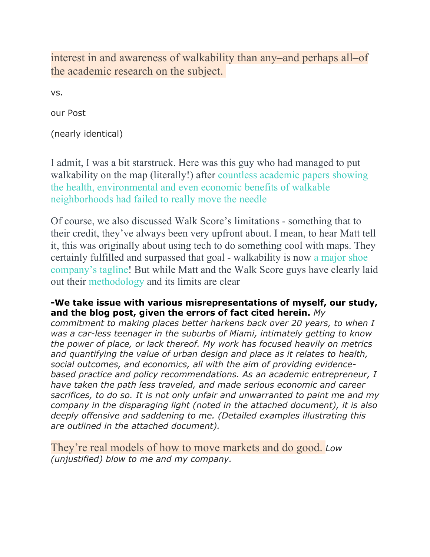interest in and awareness of walkability than any–and perhaps all–of the academic research on the subject.

vs.

our Post

(nearly identical)

I admit, I was a bit starstruck. Here was this guy who had managed to put walkability on the map (literally!) after countless academic papers showing the health, environmental and even economic benefits of walkable neighborhoods had failed to really move the needle

Of course, we also discussed Walk Score's limitations - something that to their credit, they've always been very upfront about. I mean, to hear Matt tell it, this was originally about using tech to do something cool with maps. They certainly fulfilled and surpassed that goal - walkability is now a major shoe company's tagline! But while Matt and the Walk Score guys have clearly laid out their methodology and its limits are clear

#### **-We take issue with various misrepresentations of myself, our study, and the blog post, given the errors of fact cited herein.** *My*

*commitment to making places better harkens back over 20 years, to when I was a car-less teenager in the suburbs of Miami, intimately getting to know the power of place, or lack thereof. My work has focused heavily on metrics and quantifying the value of urban design and place as it relates to health, social outcomes, and economics, all with the aim of providing evidencebased practice and policy recommendations. As an academic entrepreneur, I have taken the path less traveled, and made serious economic and career sacrifices, to do so. It is not only unfair and unwarranted to paint me and my company in the disparaging light (noted in the attached document), it is also deeply offensive and saddening to me. (Detailed examples illustrating this are outlined in the attached document).*

They're real models of how to move markets and do good. *Low (unjustified) blow to me and my company.*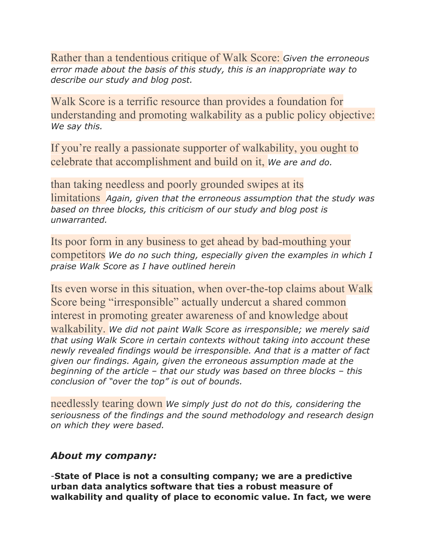Rather than a tendentious critique of Walk Score: *Given the erroneous error made about the basis of this study, this is an inappropriate way to describe our study and blog post.*

Walk Score is a terrific resource than provides a foundation for understanding and promoting walkability as a public policy objective: *We say this.*

If you're really a passionate supporter of walkability, you ought to celebrate that accomplishment and build on it, *We are and do.*

than taking needless and poorly grounded swipes at its limitations *Again, given that the erroneous assumption that the study was based on three blocks, this criticism of our study and blog post is unwarranted.*

Its poor form in any business to get ahead by bad-mouthing your competitors *We do no such thing, especially given the examples in which I praise Walk Score as I have outlined herein*

Its even worse in this situation, when over-the-top claims about Walk Score being "irresponsible" actually undercut a shared common interest in promoting greater awareness of and knowledge about walkability. *We did not paint Walk Score as irresponsible; we merely said that using Walk Score in certain contexts without taking into account these newly revealed findings would be irresponsible. And that is a matter of fact given our findings. Again, given the erroneous assumption made at the beginning of the article – that our study was based on three blocks – this conclusion of "over the top" is out of bounds.* 

needlessly tearing down *We simply just do not do this, considering the seriousness of the findings and the sound methodology and research design on which they were based.*

## *About my company:*

-**State of Place is not a consulting company; we are a predictive urban data analytics software that ties a robust measure of walkability and quality of place to economic value. In fact, we were**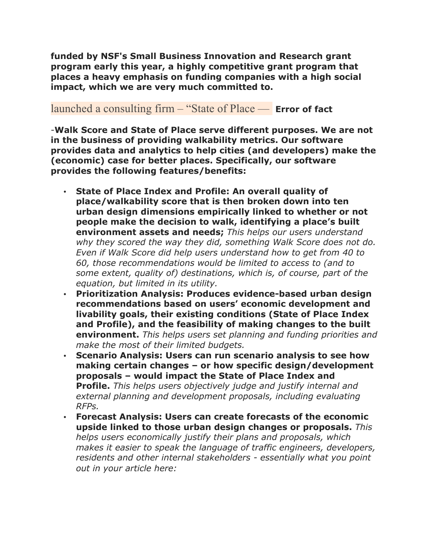**funded by NSF's Small Business Innovation and Research grant program early this year, a highly competitive grant program that places a heavy emphasis on funding companies with a high social impact, which we are very much committed to.**

# launched a consulting firm – "State of Place — **Error of fact**

-**Walk Score and State of Place serve different purposes. We are not in the business of providing walkability metrics. Our software provides data and analytics to help cities (and developers) make the (economic) case for better places. Specifically, our software provides the following features/benefits:**

- **State of Place Index and Profile: An overall quality of place/walkability score that is then broken down into ten urban design dimensions empirically linked to whether or not people make the decision to walk, identifying a place's built environment assets and needs;** *This helps our users understand why they scored the way they did, something Walk Score does not do. Even if Walk Score did help users understand how to get from 40 to 60, those recommendations would be limited to access to (and to some extent, quality of) destinations, which is, of course, part of the equation, but limited in its utility.*
- **Prioritization Analysis: Produces evidence-based urban design recommendations based on users' economic development and livability goals, their existing conditions (State of Place Index and Profile), and the feasibility of making changes to the built environment.** *This helps users set planning and funding priorities and make the most of their limited budgets.*
- **Scenario Analysis: Users can run scenario analysis to see how making certain changes – or how specific design/development proposals – would impact the State of Place Index and Profile.** *This helps users objectively judge and justify internal and external planning and development proposals, including evaluating RFPs.*
- **Forecast Analysis: Users can create forecasts of the economic upside linked to those urban design changes or proposals.** *This helps users economically justify their plans and proposals, which makes it easier to speak the language of traffic engineers, developers, residents and other internal stakeholders - essentially what you point out in your article here:*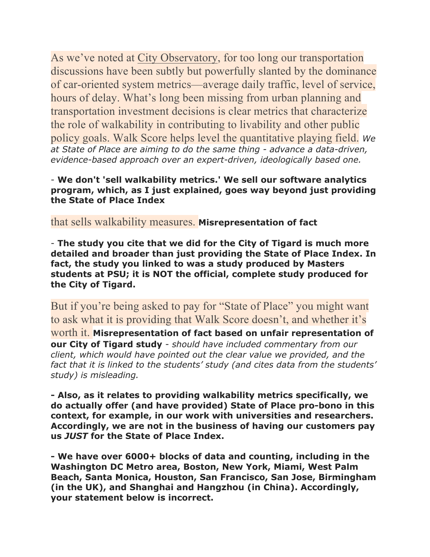As we've noted at City Observatory, for too long our transportation discussions have been subtly but powerfully slanted by the dominance of car-oriented system metrics—average daily traffic, level of service, hours of delay. What's long been missing from urban planning and transportation investment decisions is clear metrics that characterize the role of walkability in contributing to livability and other public policy goals. Walk Score helps level the quantitative playing field. *We at State of Place are aiming to do the same thing - advance a data-driven, evidence-based approach over an expert-driven, ideologically based one.*

#### - **We don't 'sell walkability metrics.' We sell our software analytics program, which, as I just explained, goes way beyond just providing the State of Place Index**

that sells walkability measures. **Misrepresentation of fact**

- **The study you cite that we did for the City of Tigard is much more detailed and broader than just providing the State of Place Index. In fact, the study you linked to was a study produced by Masters students at PSU; it is NOT the official, complete study produced for the City of Tigard.**

But if you're being asked to pay for "State of Place" you might want to ask what it is providing that Walk Score doesn't, and whether it's worth it. **Misrepresentation of fact based on unfair representation of our City of Tigard study** - *should have included commentary from our client, which would have pointed out the clear value we provided, and the fact that it is linked to the students' study (and cites data from the students' study) is misleading.*

**- Also, as it relates to providing walkability metrics specifically, we do actually offer (and have provided) State of Place pro-bono in this context, for example, in our work with universities and researchers. Accordingly, we are not in the business of having our customers pay us** *JUST* **for the State of Place Index.**

**- We have over 6000+ blocks of data and counting, including in the Washington DC Metro area, Boston, New York, Miami, West Palm Beach, Santa Monica, Houston, San Francisco, San Jose, Birmingham (in the UK), and Shanghai and Hangzhou (in China). Accordingly, your statement below is incorrect.**